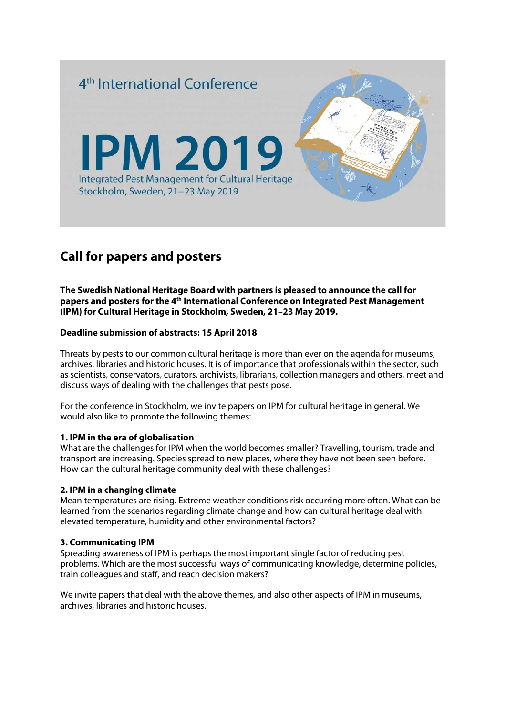

# **Call for papers and posters**

**The Swedish National Heritage Board with partners is pleased to announce the call for papers and posters for the 4th International Conference on Integrated Pest Management (IPM) for Cultural Heritage in Stockholm, Sweden, 21–23 May 2019.**

### **Deadline submission of abstracts: 15 April 2018**

Threats by pests to our common cultural heritage is more than ever on the agenda for museums, archives, libraries and historic houses. It is of importance that professionals within the sector, such as scientists, conservators, curators, archivists, librarians, collection managers and others, meet and discuss ways of dealing with the challenges that pests pose.

For the conference in Stockholm, we invite papers on IPM for cultural heritage in general. We would also like to promote the following themes:

#### **1. IPM in the era of globalisation**

What are the challenges for IPM when the world becomes smaller? Travelling, tourism, trade and transport are increasing. Species spread to new places, where they have not been seen before. How can the cultural heritage community deal with these challenges?

#### **2. IPM in a changing climate**

Mean temperatures are rising. Extreme weather conditions risk occurring more often. What can be learned from the scenarios regarding climate change and how can cultural heritage deal with elevated temperature, humidity and other environmental factors?

#### **3. Communicating IPM**

Spreading awareness of IPM is perhaps the most important single factor of reducing pest problems. Which are the most successful ways of communicating knowledge, determine policies, train colleagues and staff, and reach decision makers?

We invite papers that deal with the above themes, and also other aspects of IPM in museums, archives, libraries and historic houses.